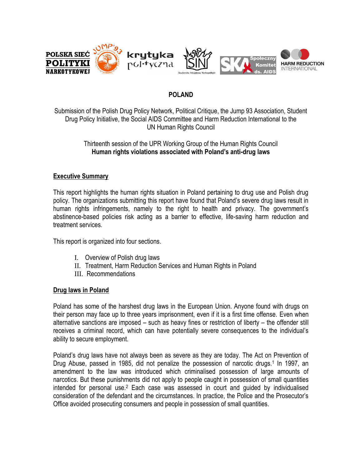

# **POLAND**

Submission of the Polish Drug Policy Network, Political Critique, the Jump 93 Association, Student Drug Policy Initiative, the Social AIDS Committee and Harm Reduction International to the UN Human Rights Council

# Thirteenth session of the UPR Working Group of the Human Rights Council **Human rights violations associated with Poland's anti-drug laws**

# **Executive Summary**

This report highlights the human rights situation in Poland pertaining to drug use and Polish drug policy. The organizations submitting this report have found that Poland"s severe drug laws result in human rights infringements, namely to the right to health and privacy. The government"s abstinence-based policies risk acting as a barrier to effective, life-saving harm reduction and treatment services.

This report is organized into four sections.

- I. Overview of Polish drug laws
- II. Treatment, Harm Reduction Services and Human Rights in Poland
- III. Recommendations

#### **Drug laws in Poland**

Poland has some of the harshest drug laws in the European Union. Anyone found with drugs on their person may face up to three years imprisonment, even if it is a first time offense. Even when alternative sanctions are imposed – such as heavy fines or restriction of liberty – the offender still receives a criminal record, which can have potentially severe consequences to the individual"s ability to secure employment.

Poland"s drug laws have not always been as severe as they are today. The Act on Prevention of Drug Abuse, passed in 1985, did not penalize the possession of narcotic drugs.<sup>1</sup> In 1997, an amendment to the law was introduced which criminalised possession of large amounts of narcotics. But these punishments did not apply to people caught in possession of small quantities intended for personal use.<sup>2</sup> Each case was assessed in court and guided by individualised consideration of the defendant and the circumstances. In practice, the Police and the Prosecutor"s Office avoided prosecuting consumers and people in possession of small quantities.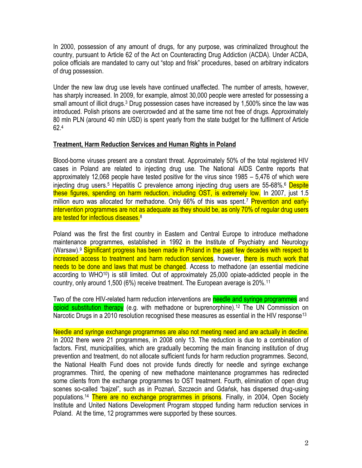In 2000, possession of any amount of drugs, for any purpose, was criminalized throughout the country, pursuant to Article 62 of the Act on Counteracting Drug Addiction (ACDA). Under ACDA, police officials are mandated to carry out "stop and frisk" procedures, based on arbitrary indicators of drug possession.

Under the new law drug use levels have continued unaffected. The number of arrests, however, has sharply increased. In 2009, for example, almost 30,000 people were arrested for possessing a small amount of illicit drugs.<sup>3</sup> Drug possession cases have increased by 1,500% since the law was introduced. Polish prisons are overcrowded and at the same time not free of drugs. Approximately 80 mln PLN (around 40 mln USD) is spent yearly from the state budget for the fulfilment of Article 62.<sup>4</sup>

### **Treatment, Harm Reduction Services and Human Rights in Poland**

Blood-borne viruses present are a constant threat. Approximately 50% of the total registered HIV cases in Poland are related to injecting drug use. The National AIDS Centre reports that approximately 12,068 people have tested positive for the virus since 1985 – 5,476 of which were injecting drug users.<sup>5</sup> Hepatitis C prevalence among injecting drug users are 55-68%.<sup>6</sup> Despite these figures, spending on harm reduction, including OST, is extremely low. In 2007, just 1.5 million euro was allocated for methadone. Only 66% of this was spent.<sup>7</sup> Prevention and earlyintervention programmes are not as adequate as they should be, as only 70% of regular drug users are tested for infectious diseases.<sup>8</sup>

Poland was the first the first country in Eastern and Central Europe to introduce methadone maintenance programmes, established in 1992 in the Institute of Psychiatry and Neurology (Warsaw).<sup>9</sup> Significant progress has been made in Poland in the past few decades with respect to increased access to treatment and harm reduction services, however, there is much work that needs to be done and laws that must be changed. Access to methadone (an essential medicine according to WHO10) is still limited. Out of approximately 25,000 opiate-addicted people in the country, only around 1,500 (6%) receive treatment. The European average is 20%.<sup>11</sup>

Two of the core HIV-related harm reduction interventions are needle and syringe programmes and opioid substitution therapy (e.g. with methadone or buprenorphine).<sup>12</sup> The UN Commission on Narcotic Drugs in a 2010 resolution recognised these measures as essential in the HIV response<sup>13</sup>

Needle and syringe exchange programmes are also not meeting need and are actually in decline. In 2002 there were 21 programmes, in 2008 only 13. The reduction is due to a combination of factors. First, municipalities, which are gradually becoming the main financing institution of drug prevention and treatment, do not allocate sufficient funds for harm reduction programmes. Second, the National Health Fund does not provide funds directly for needle and syringe exchange programmes. Third, the opening of new methadone maintenance programmes has redirected some clients from the exchange programmes to OST treatment. Fourth, elimination of open drug scenes so-called "bajzel", such as in Poznań, Szczecin and Gdańsk, has dispersed drug-using populations.<sup>14</sup> There are no exchange programmes in prisons. Finally, in 2004, Open Society Institute and United Nations Development Program stopped funding harm reduction services in Poland. At the time, 12 programmes were supported by these sources.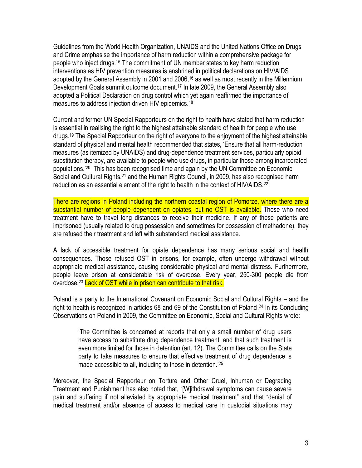Guidelines from the World Health Organization, UNAIDS and the United Nations Office on Drugs and Crime emphasise the importance of harm reduction within a comprehensive package for people who inject drugs.<sup>15</sup> The commitment of UN member states to key harm reduction interventions as HIV prevention measures is enshrined in political declarations on HIV/AIDS adopted by the General Assembly in 2001 and 2006,<sup>16</sup> as well as most recently in the Millennium Development Goals summit outcome document.<sup>17</sup> In late 2009, the General Assembly also adopted a Political Declaration on drug control which yet again reaffirmed the importance of measures to address injection driven HIV epidemics.<sup>18</sup>

Current and former UN Special Rapporteurs on the right to health have stated that harm reduction is essential in realising the right to the highest attainable standard of health for people who use drugs.<sup>19</sup> The Special Rapporteur on the right of everyone to the enjoyment of the highest attainable standard of physical and mental health recommended that states, "Ensure that all harm-reduction measures (as itemized by UNAIDS) and drug-dependence treatment services, particularly opioid substitution therapy, are available to people who use drugs, in particular those among incarcerated populations."<sup>20</sup> This has been recognised time and again by the UN Committee on Economic Social and Cultural Rights,<sup>21</sup> and the Human Rights Council, in 2009, has also recognised harm reduction as an essential element of the right to health in the context of HIV/AIDS.<sup>22</sup>

There are regions in Poland including the northern coastal region of Pomorze, where there are a substantial number of people dependent on opiates, but no OST is available. Those who need treatment have to travel long distances to receive their medicine. If any of these patients are imprisoned (usually related to drug possession and sometimes for possession of methadone), they are refused their treatment and left with substandard medical assistance.

A lack of accessible treatment for opiate dependence has many serious social and health consequences. Those refused OST in prisons, for example, often undergo withdrawal without appropriate medical assistance, causing considerable physical and mental distress. Furthermore, people leave prison at considerable risk of overdose. Every year, 250-300 people die from overdose.<sup>23</sup> Lack of OST while in prison can contribute to that risk.

Poland is a party to the International Covenant on Economic Social and Cultural Rights – and the right to health is recognized in articles 68 and 69 of the Constitution of Poland. <sup>24</sup> In its Concluding Observations on Poland in 2009, the Committee on Economic, Social and Cultural Rights wrote:

"The Committee is concerned at reports that only a small number of drug users have access to substitute drug dependence treatment, and that such treatment is even more limited for those in detention (art. 12). The Committee calls on the State party to take measures to ensure that effective treatment of drug dependence is made accessible to all, including to those in detention.<sup>'25</sup>

Moreover, the Special Rapporteur on Torture and Other Cruel, Inhuman or Degrading Treatment and Punishment has also noted that, "[W]ithdrawal symptoms can cause severe pain and suffering if not alleviated by appropriate medical treatment" and that "denial of medical treatment and/or absence of access to medical care in custodial situations may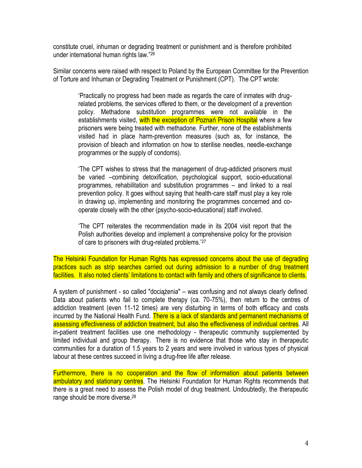constitute cruel, inhuman or degrading treatment or punishment and is therefore prohibited under international human rights law."<sup>26</sup>

Similar concerns were raised with respect to Poland by the European Committee for the Prevention of Torture and Inhuman or Degrading Treatment or Punishment (CPT). The CPT wrote:

"Practically no progress had been made as regards the care of inmates with drugrelated problems, the services offered to them, or the development of a prevention policy. Methadone substitution programmes were not available in the establishments visited, with the exception of Poznań Prison Hospital where a few prisoners were being treated with methadone. Further, none of the establishments visited had in place harm-prevention measures (such as, for instance, the provision of bleach and information on how to sterilise needles, needle-exchange programmes or the supply of condoms).

"The CPT wishes to stress that the management of drug-addicted prisoners must be varied –combining detoxification, psychological support, socio-educational programmes, rehabilitation and substitution programmes – and linked to a real prevention policy. It goes without saying that health-care staff must play a key role in drawing up, implementing and monitoring the programmes concerned and cooperate closely with the other (psycho-socio-educational) staff involved.

"The CPT reiterates the recommendation made in its 2004 visit report that the Polish authorities develop and implement a comprehensive policy for the provision of care to prisoners with drug-related problems.<sup>27</sup>

The Helsinki Foundation for Human Rights has expressed concerns about the use of degrading practices such as strip searches carried out during admission to a number of drug treatment facilities. It also noted clients' limitations to contact with family and others of significance to clients.

A system of punishment - so called "dociążenia" – was confusing and not always clearly defined. Data about patients who fail to complete therapy (ca. 70-75%), then return to the centres of addiction treatment (even 11-12 times) are very disturbing in terms of both efficacy and costs incurred by the National Health Fund. There is a lack of standards and permanent mechanisms of assessing effectiveness of addiction treatment, but also the effectiveness of individual centres. All in-patient treatment facilities use one methodology - therapeutic community supplemented by limited individual and group therapy. There is no evidence that those who stay in therapeutic communities for a duration of 1.5 years to 2 years and were involved in various types of physical labour at these centres succeed in living a drug-free life after release.

Furthermore, there is no cooperation and the flow of information about patients between ambulatory and stationary centres. The Helsinki Foundation for Human Rights recommends that there is a great need to assess the Polish model of drug treatment. Undoubtedly, the therapeutic range should be more diverse.28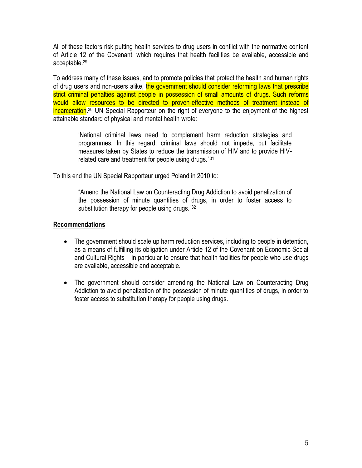All of these factors risk putting health services to drug users in conflict with the normative content of Article 12 of the Covenant, which requires that health facilities be available, accessible and acceptable.<sup>29</sup>

To address many of these issues, and to promote policies that protect the health and human rights of drug users and non-users alike, the government should consider reforming laws that prescribe strict criminal penalties against people in possession of small amounts of drugs. Such reforms would allow resources to be directed to proven-effective methods of treatment instead of incarceration.<sup>30</sup> UN Special Rapporteur on the right of everyone to the enjoyment of the highest attainable standard of physical and mental health wrote:

"National criminal laws need to complement harm reduction strategies and programmes. In this regard, criminal laws should not impede, but facilitate measures taken by States to reduce the transmission of HIV and to provide HIVrelated care and treatment for people using drugs.'<sup>31</sup>

To this end the UN Special Rapporteur urged Poland in 2010 to:

"Amend the National Law on Counteracting Drug Addiction to avoid penalization of the possession of minute quantities of drugs, in order to foster access to substitution therapy for people using drugs."32

#### **Recommendations**

- The government should scale up harm reduction services, including to people in detention, as a means of fulfilling its obligation under Article 12 of the Covenant on Economic Social and Cultural Rights – in particular to ensure that health facilities for people who use drugs are available, accessible and acceptable.
- The government should consider amending the National Law on Counteracting Drug Addiction to avoid penalization of the possession of minute quantities of drugs, in order to foster access to substitution therapy for people using drugs.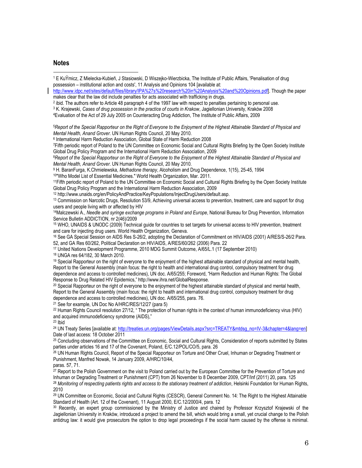#### **Notes**

l <sup>1</sup> E KuŸmicz, Z Mielecka-Kubieñ, J Stasiowski, D Wiszejko-Wierzbicka, The Institute of Public Affairs, 'Penalisation of drug possession – institutional action and costs', 11 Analysis and Opinions 104 [available at: [http://www.idpc.net/sites/default/files/library/IPA%27s%20research%20in%20Analysis%20and%20Opinions.pdf\]](http://www.idpc.net/sites/default/files/library/IPA%27s%20research%20in%20Analysis%20and%20Opinions.pdf). Though the paper makes clear that the law did include penalties for acts associated with trafficking in drugs. 2 ibid. The authors refer to Article 48 paragraph 4 of the 1997 law with respect to penalties pertaining to personal use. <sup>3</sup> K. Krajewski, *Cases of drug possession in the practice of courts in Krakow*, Jagiellonian University, Kraków 2008 <sup>4</sup>Evaluation of the Act of 29 July 2005 on Counteracting Drug Addiction, The Institute of Public Affairs, 2009 <sup>5</sup>*Report of the Special Rapporteur on the Right of Everyone to the Enjoyment of the Highest Attainable Standard of Physical and Mental Health, Anand Grover*. UN Human Rights Council, 20 May 2010. 6 International Harm Reduction Association, Global State of Harm Reduction 2008 <sup>7</sup>Fifth periodic report of Poland to the UN Committee on Economic Social and Cultural Rights Briefing by the Open Society Institute Global Drug Policy Program and the International Harm Reduction Association, 2009 <sup>8</sup>*Report of the Special Rapporteur on the Right of Everyone to the Enjoyment of the Highest Attainable Standard of Physical and Mental Health, Anand Grover*. UN Human Rights Council, 20 May 2010. <sup>9</sup> H. BaranFurga, K.Chmielewska, *Methadone therapy*, Alcoholism and Drug Dependence, 1(15), 25-45, 1994 10"Who Model List of Essential Medicines." World Health Organization, Mar. 2011. <sup>11</sup>Fifth periodic report of Poland to the UN Committee on Economic Social and Cultural Rights Briefing by the Open Society Institute Global Drug Policy Program and the International Harm Reduction Association, 2009 <sup>12</sup> http://www.unaids.org/en/PolicyAndPractice/KeyPopulations/InjectDrugUsers/default.asp. <sup>13</sup> Commission on Narcotic Drugs, Resolution 53/9, Achieving universal access to prevention, treatment, care and support for drug users and people living with or affected by HIV <sup>14</sup>Malczewski A., *Needle and syringe exchange programs in Poland and Europe*, National Bureau for Drug Prevention, Information Service Bulletin ADDICTION, nr 2(46)/2009 <sup>15</sup> WHO, UNAIDS & UNODC (2009) Technical guide for countries to set targets for universal access to HIV prevention, treatment and care for injecting drug users. World Health Organization, Geneva. <sup>16</sup> See GA Special Session on AIDS Res S-26/2, adopting the Declaration of Commitment on HIV/AIDS (2001) A/RES/S-26/2 Para. 52, and GA Res 60/262, Political Declaration on HIV/AIDS, A/RES/60/262 (2006) Para. 22 <sup>17</sup> United Nations Development Programme, 2010 MDG Summit Outcome, A/65/L.1 (17 September 2010) <sup>18</sup> UNGA res 64/182, 30 March 2010.  $19$  Special Rapporteur on the right of everyone to the enjoyment of the highest attainable standard of physical and mental health, Report to the General Assembly (main focus: the right to health and international drug control, compulsory treatment for drug dependence and access to controlled medicines), UN doc. A/65/255; Foreword, "Harm Reduction and Human Rights: The Global Response to Drug Related HIV Epidemics," http://www.ihra.net/GlobalResponse.  $20$  Special Rapporteur on the right of everyone to the enjoyment of the highest attainable standard of physical and mental health. Report to the General Assembly (main focus: the right to health and international drug control, compulsory treatment for drug dependence and access to controlled medicines), UN doc. A/65/255, para. 76. <sup>21</sup> See for example, UN Doc No A/HRC/RES/12/27 (para 5)

<sup>22</sup> Human Rights Council resolution 27/12, " The protection of human rights in the context of human immunodeficiency virus (HIV) and acquired immunodeficiency syndrome (AIDS),"

 $23$  Ibid

<sup>24</sup> UN Treaty Series [available at[: http://treaties.un.org/pages/ViewDetails.aspx?src=TREATY&mtdsg\\_no=IV-3&chapter=4&lang=en\]](http://treaties.un.org/pages/ViewDetails.aspx?src=TREATY&mtdsg_no=IV-3&chapter=4&lang=en)  Date of last access: 18 October 2011

<sup>25</sup> Concluding observations of the Committee on Economic, Social and Cultural Rights, Consideration of reports submitted by States parties under articles 16 and 17 of the Covenant, Poland, E/C.12/POL/CO/5, para. 26

<sup>26</sup> UN Human Rights Council, Report of the Special Rapporteur on Torture and Other Cruel, Inhuman or Degrading Treatment or Punishment, Manfred Nowak, 14 January 2009, A/HRC/10/44,

paras. 57, 71.

<sup>27</sup> Report to the Polish Government on the visit to Poland carried out by the European Committee for the Prevention of Torture and Inhuman or Degrading Treatment or Punishment (CPT) from 26 November to 8 December 2009, CPT/Inf (2011) 20, para. 125 <sup>28</sup> *Monitoring of respecting patients rights and access to the stationary treatment of addiction*, Helsinki Foundation for Human Rights, 2010

<sup>29</sup> UN Committee on Economic, Social and Cultural Rights (CESCR), General Comment No. 14: The Right to the Highest Attainable Standard of Health (Art. 12 of the Covenant), 11 August 2000, E/C.12/2000/4, para. 12

30 Recently, an expert group commissioned by the Ministry of Justice and chaired by Professor Krzysztof Krajewski of the Jagiellonian University in Kraków, introduced a project to amend the bill, which would bring a small, yet crucial change to the Polish antidrug law: it would give prosecutors the option to drop legal proceedings if the social harm caused by the offense is minimal.